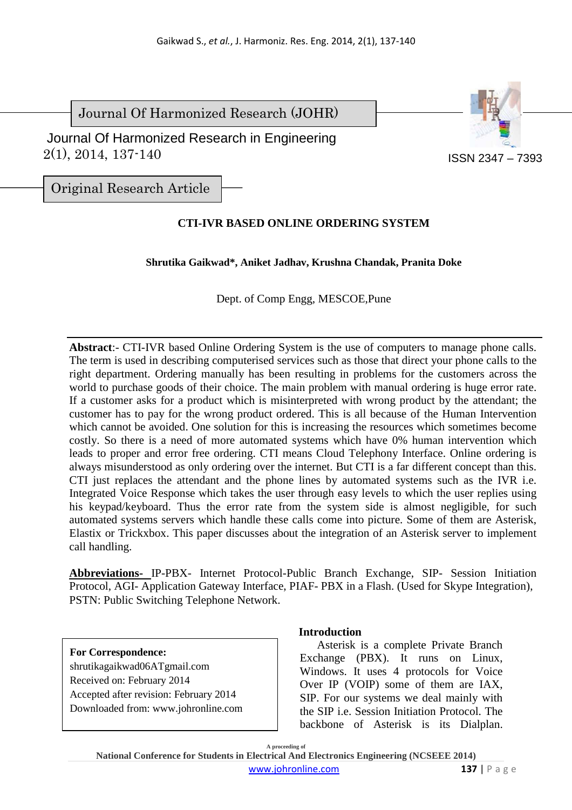Journal Of Harmonized Research (JOHR)

 2(1), 2014, 137-140 Journal Of Harmonized Research in Engineering



Original Research Article

# **CTI-IVR BASED ONLINE ORDERING SYSTEM**

**Shrutika Gaikwad\*, Aniket Jadhav, Krushna Chandak, Pranita Doke** 

Dept. of Comp Engg, MESCOE,Pune

**Abstract**:- CTI-IVR based Online Ordering System is the use of computers to manage phone calls. The term is used in describing computerised services such as those that direct your phone calls to the right department. Ordering manually has been resulting in problems for the customers across the world to purchase goods of their choice. The main problem with manual ordering is huge error rate. If a customer asks for a product which is misinterpreted with wrong product by the attendant; the customer has to pay for the wrong product ordered. This is all because of the Human Intervention which cannot be avoided. One solution for this is increasing the resources which sometimes become costly. So there is a need of more automated systems which have 0% human intervention which leads to proper and error free ordering. CTI means Cloud Telephony Interface. Online ordering is always misunderstood as only ordering over the internet. But CTI is a far different concept than this. CTI just replaces the attendant and the phone lines by automated systems such as the IVR i.e. Integrated Voice Response which takes the user through easy levels to which the user replies using his keypad/keyboard. Thus the error rate from the system side is almost negligible, for such automated systems servers which handle these calls come into picture. Some of them are Asterisk, Elastix or Trickxbox. This paper discusses about the integration of an Asterisk server to implement call handling.

**Abbreviations-** IP-PBX- Internet Protocol-Public Branch Exchange, SIP- Session Initiation Protocol, AGI- Application Gateway Interface, PIAF- PBX in a Flash. (Used for Skype Integration), PSTN: Public Switching Telephone Network.

#### **For Correspondence:**

shrutikagaikwad06ATgmail.com Received on: February 2014 Accepted after revision: February 2014 Downloaded from: www.johronline.com

## **Introduction**

Asterisk is a complete Private Branch Exchange (PBX). It runs on Linux, Windows. It uses 4 protocols for Voice Over IP (VOIP) some of them are IAX, SIP. For our systems we deal mainly with the SIP i.e. Session Initiation Protocol. The backbone of Asterisk is its Dialplan.

**A proceeding of** 

**National Conference for Students in Electrical And Electronics Engineering (NCSEEE 2014)**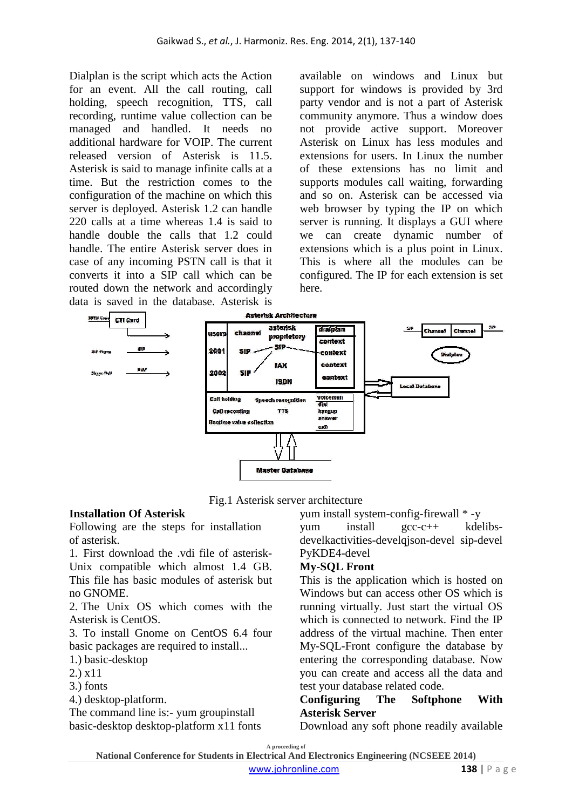Dialplan is the script which acts the Action for an event. All the call routing, call holding, speech recognition, TTS, call recording, runtime value collection can be managed and handled. It needs no additional hardware for VOIP. The current released version of Asterisk is 11.5. Asterisk is said to manage infinite calls at a time. But the restriction comes to the configuration of the machine on which this server is deployed. Asterisk 1.2 can handle 220 calls at a time whereas 1.4 is said to handle double the calls that 1.2 could handle. The entire Asterisk server does in case of any incoming PSTN call is that it converts it into a SIP call which can be routed down the network and accordingly data is saved in the database. Asterisk is

available on windows and Linux but support for windows is provided by 3rd party vendor and is not a part of Asterisk community anymore. Thus a window does not provide active support. Moreover Asterisk on Linux has less modules and extensions for users. In Linux the number of these extensions has no limit and supports modules call waiting, forwarding and so on. Asterisk can be accessed via web browser by typing the IP on which server is running. It displays a GUI where we can create dynamic number of extensions which is a plus point in Linux. This is where all the modules can be configured. The IP for each extension is set here.



Fig.1 Asterisk server architecture

## **Installation Of Asterisk**

Following are the steps for installation of asterisk.

1. First download the .vdi file of asterisk-Unix compatible which almost 1.4 GB. This file has basic modules of asterisk but no GNOME.

2. The Unix OS which comes with the Asterisk is CentOS.

3. To install Gnome on CentOS 6.4 four basic packages are required to install...

1.) basic-desktop

2.) x11

3.) fonts

4.) desktop-platform.

The command line is:- yum groupinstall basic-desktop desktop-platform x11 fonts yum install system-config-firewall \* -y

yum install gcc-c++ kdelibsdevelkactivities-develqjson-devel sip-devel PyKDE4-devel

# **My-SQL Front**

This is the application which is hosted on Windows but can access other OS which is running virtually. Just start the virtual OS which is connected to network. Find the IP address of the virtual machine. Then enter My-SQL-Front configure the database by entering the corresponding database. Now you can create and access all the data and test your database related code.

## **Configuring The Softphone With Asterisk Server**

Download any soft phone readily available

**A proceeding of**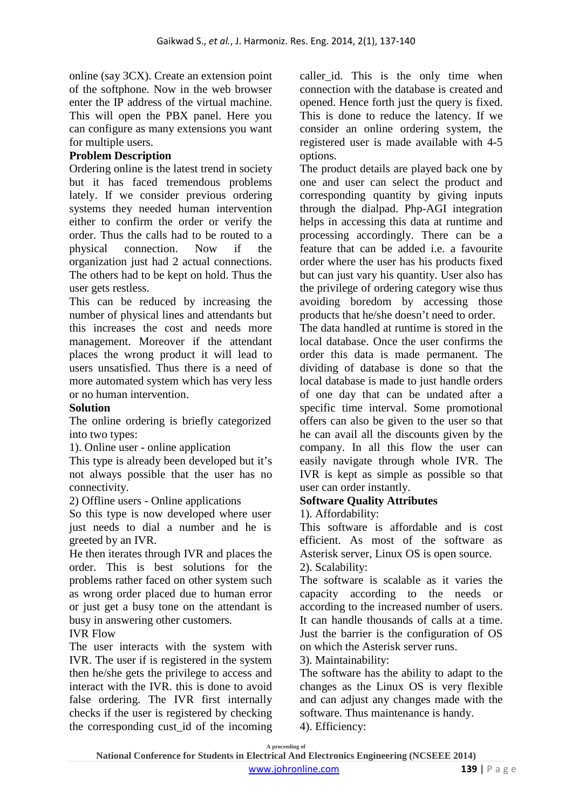online (say 3CX). Create an extension point of the softphone. Now in the web browser enter the IP address of the virtual machine. This will open the PBX panel. Here you can configure as many extensions you want for multiple users.

## **Problem Description**

Ordering online is the latest trend in society but it has faced tremendous problems lately. If we consider previous ordering systems they needed human intervention either to confirm the order or verify the order. Thus the calls had to be routed to a physical connection. Now if the organization just had 2 actual connections. The others had to be kept on hold. Thus the user gets restless.

This can be reduced by increasing the number of physical lines and attendants but this increases the cost and needs more management. Moreover if the attendant places the wrong product it will lead to users unsatisfied. Thus there is a need of more automated system which has very less or no human intervention.

## **Solution**

The online ordering is briefly categorized into two types:

1). Online user - online application

This type is already been developed but it's not always possible that the user has no connectivity.

2) Offline users - Online applications

So this type is now developed where user just needs to dial a number and he is greeted by an IVR.

He then iterates through IVR and places the order. This is best solutions for the problems rather faced on other system such as wrong order placed due to human error or just get a busy tone on the attendant is busy in answering other customers.

#### IVR Flow

The user interacts with the system with IVR. The user if is registered in the system then he/she gets the privilege to access and interact with the IVR. this is done to avoid false ordering. The IVR first internally checks if the user is registered by checking the corresponding cust\_id of the incoming caller id. This is the only time when connection with the database is created and opened. Hence forth just the query is fixed. This is done to reduce the latency. If we consider an online ordering system, the registered user is made available with 4-5 options.

The product details are played back one by one and user can select the product and corresponding quantity by giving inputs through the dialpad. Php-AGI integration helps in accessing this data at runtime and processing accordingly. There can be a feature that can be added i.e. a favourite order where the user has his products fixed but can just vary his quantity. User also has the privilege of ordering category wise thus avoiding boredom by accessing those products that he/she doesn't need to order.

The data handled at runtime is stored in the local database. Once the user confirms the order this data is made permanent. The dividing of database is done so that the local database is made to just handle orders of one day that can be undated after a specific time interval. Some promotional offers can also be given to the user so that he can avail all the discounts given by the company. In all this flow the user can easily navigate through whole IVR. The IVR is kept as simple as possible so that user can order instantly.

## **Software Quality Attributes**

1). Affordability:

This software is affordable and is cost efficient. As most of the software as Asterisk server, Linux OS is open source. 2). Scalability:

The software is scalable as it varies the capacity according to the needs or according to the increased number of users. It can handle thousands of calls at a time. Just the barrier is the configuration of OS on which the Asterisk server runs.

3). Maintainability:

The software has the ability to adapt to the changes as the Linux OS is very flexible and can adjust any changes made with the software. Thus maintenance is handy. 4). Efficiency:

**A proceeding of**